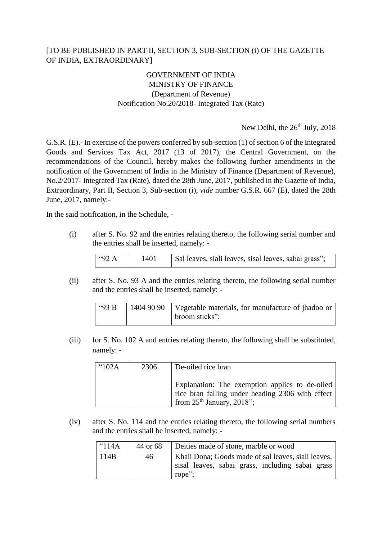## [TO BE PUBLISHED IN PART II, SECTION 3, SUB-SECTION (i) OF THE GAZETTE OF INDIA, EXTRAORDINARY]

## GOVERNMENT OF INDIA MINISTRY OF FINANCE (Department of Revenue) Notification No.20/2018- Integrated Tax (Rate)

New Delhi, the  $26<sup>th</sup>$  July, 2018

G.S.R. (E).- In exercise of the powers conferred by sub-section (1) of section 6 of the Integrated Goods and Services Tax Act, 2017 (13 of 2017), the Central Government, on the recommendations of the Council, hereby makes the following further amendments in the notification of the Government of India in the Ministry of Finance (Department of Revenue), No.2/2017- Integrated Tax (Rate), dated the 28th June, 2017, published in the Gazette of India, Extraordinary, Part II, Section 3, Sub-section (i), *vide* number G.S.R. 667 (E), dated the 28th June, 2017, namely:-

In the said notification, in the Schedule, -

(i) after S. No. 92 and the entries relating thereto, the following serial number and the entries shall be inserted, namely: -

| 1492 A<br>1401 |  |  | Sal leaves, siali leaves, sisal leaves, sabai grass"; |
|----------------|--|--|-------------------------------------------------------|
|----------------|--|--|-------------------------------------------------------|

(ii) after S. No. 93 A and the entries relating thereto, the following serial number and the entries shall be inserted, namely: -

| "93B | 1404 90 90   Vegetable materials, for manufacture of jhadoo or |
|------|----------------------------------------------------------------|
|      | broom sticks";                                                 |

(iii) for S. No. 102 A and entries relating thereto, the following shall be substituted, namely: -

| $^{\circ}102A$ | 2306 | De-oiled rice bran                                                                                                                   |
|----------------|------|--------------------------------------------------------------------------------------------------------------------------------------|
|                |      | Explanation: The exemption applies to de-oiled<br>rice bran falling under heading 2306 with effect<br>from $25th$ January, $2018$ "; |

(iv) after S. No. 114 and the entries relating thereto, the following serial numbers and the entries shall be inserted, namely: -

| $^{\circ}$ 114A | 44 or 68 | Deities made of stone, marble or wood                                                                             |  |  |  |  |
|-----------------|----------|-------------------------------------------------------------------------------------------------------------------|--|--|--|--|
| 114B            | 46       | Khali Dona; Goods made of sal leaves, siali leaves,<br>sisal leaves, sabai grass, including sabai grass<br>rope"; |  |  |  |  |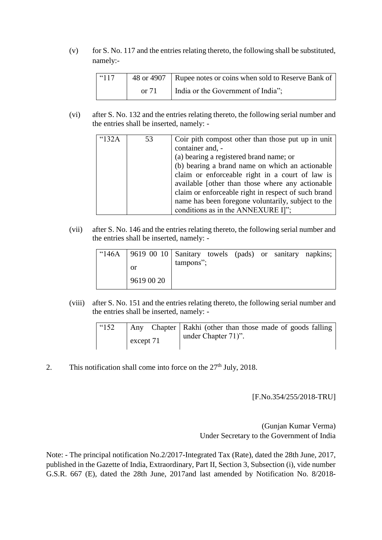(v) for S. No. 117 and the entries relating thereto, the following shall be substituted, namely:-

| $^{\circ}$ 117 |         | 48 or 4907   Rupee notes or coins when sold to Reserve Bank of |
|----------------|---------|----------------------------------------------------------------|
|                | or $71$ | India or the Government of India";                             |

(vi) after S. No. 132 and the entries relating thereto, the following serial number and the entries shall be inserted, namely: -

| 432A | 53 | Coir pith compost other than those put up in unit<br>container and, -<br>(a) bearing a registered brand name; or<br>(b) bearing a brand name on which an actionable<br>claim or enforceable right in a court of law is<br>available [other than those where any actionable<br>claim or enforceable right in respect of such brand<br>name has been foregone voluntarily, subject to the |
|------|----|-----------------------------------------------------------------------------------------------------------------------------------------------------------------------------------------------------------------------------------------------------------------------------------------------------------------------------------------------------------------------------------------|
|      |    | conditions as in the ANNEXURE I]";                                                                                                                                                                                                                                                                                                                                                      |

(vii) after S. No. 146 and the entries relating thereto, the following serial number and the entries shall be inserted, namely: -

| "146A   9619 00 10   Sanitary towels (pads) or sanitary napkins; |              |  |  |  |
|------------------------------------------------------------------|--------------|--|--|--|
| <sub>or</sub>                                                    | $t$ ampons"; |  |  |  |
| 9619 00 20                                                       |              |  |  |  |

(viii) after S. No. 151 and the entries relating thereto, the following serial number and the entries shall be inserted, namely: -

| $\frac{14}{152}$ | Any       | Chapter   Rakhi (other than those made of goods falling |
|------------------|-----------|---------------------------------------------------------|
|                  | except 71 | under Chapter 71)".                                     |

2. This notification shall come into force on the  $27<sup>th</sup>$  July, 2018.

## [F.No.354/255/2018-TRU]

(Gunjan Kumar Verma) Under Secretary to the Government of India

Note: - The principal notification No.2/2017-Integrated Tax (Rate), dated the 28th June, 2017, published in the Gazette of India, Extraordinary, Part II, Section 3, Subsection (i), vide number G.S.R. 667 (E), dated the 28th June, 2017and last amended by Notification No. 8/2018